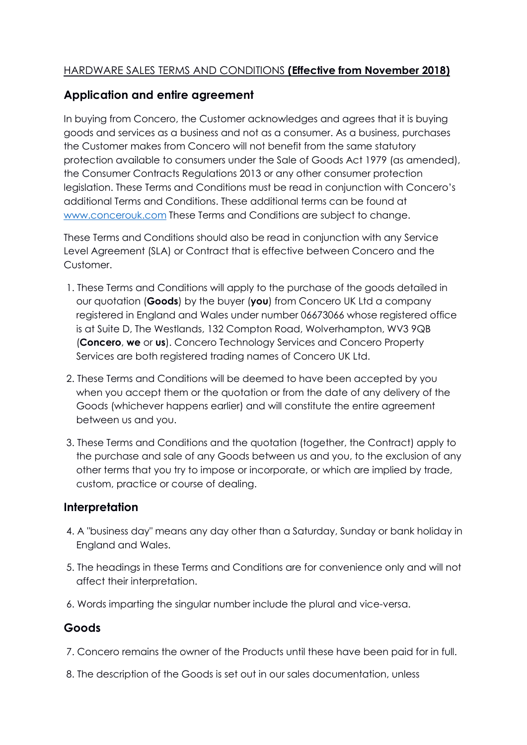## HARDWARE SALES TERMS AND CONDITIONS **(Effective from November 2018)**

# **Application and entire agreement**

In buying from Concero, the Customer acknowledges and agrees that it is buying goods and services as a business and not as a consumer. As a business, purchases the Customer makes from Concero will not benefit from the same statutory protection available to consumers under the Sale of Goods Act 1979 (as amended), the Consumer Contracts Regulations 2013 or any other consumer protection legislation. These Terms and Conditions must be read in conjunction with Concero's additional Terms and Conditions. These additional terms can be found at [www.concerouk.com](http://www.concerouk.com/) These Terms and Conditions are subject to change.

These Terms and Conditions should also be read in conjunction with any Service Level Agreement (SLA) or Contract that is effective between Concero and the Customer.

- 1. These Terms and Conditions will apply to the purchase of the goods detailed in our quotation (**Goods**) by the buyer (**you**) from Concero UK Ltd a company registered in England and Wales under number 06673066 whose registered office is at Suite D, The Westlands, 132 Compton Road, Wolverhampton, WV3 9QB (**Concero**, **we** or **us**). Concero Technology Services and Concero Property Services are both registered trading names of Concero UK Ltd.
- 2. These Terms and Conditions will be deemed to have been accepted by you when you accept them or the quotation or from the date of any delivery of the Goods (whichever happens earlier) and will constitute the entire agreement between us and you.
- 3. These Terms and Conditions and the quotation (together, the Contract) apply to the purchase and sale of any Goods between us and you, to the exclusion of any other terms that you try to impose or incorporate, or which are implied by trade, custom, practice or course of dealing.

## **Interpretation**

- 4. A "business day" means any day other than a Saturday, Sunday or bank holiday in England and Wales.
- 5. The headings in these Terms and Conditions are for convenience only and will not affect their interpretation.
- 6. Words imparting the singular number include the plural and vice-versa.

# **Goods**

- 7. Concero remains the owner of the Products until these have been paid for in full.
- 8. The description of the Goods is set out in our sales documentation, unless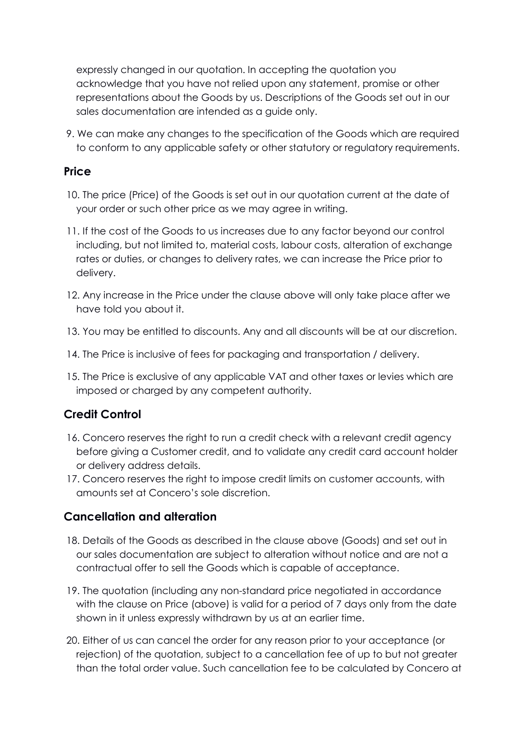expressly changed in our quotation. In accepting the quotation you acknowledge that you have not relied upon any statement, promise or other representations about the Goods by us. Descriptions of the Goods set out in our sales documentation are intended as a guide only.

9. We can make any changes to the specification of the Goods which are required to conform to any applicable safety or other statutory or regulatory requirements.

## **Price**

- 10. The price (Price) of the Goods is set out in our quotation current at the date of your order or such other price as we may agree in writing.
- 11. If the cost of the Goods to us increases due to any factor beyond our control including, but not limited to, material costs, labour costs, alteration of exchange rates or duties, or changes to delivery rates, we can increase the Price prior to delivery.
- 12. Any increase in the Price under the clause above will only take place after we have told you about it.
- 13. You may be entitled to discounts. Any and all discounts will be at our discretion.
- 14. The Price is inclusive of fees for packaging and transportation / delivery.
- 15. The Price is exclusive of any applicable VAT and other taxes or levies which are imposed or charged by any competent authority.

# **Credit Control**

- 16. Concero reserves the right to run a credit check with a relevant credit agency before giving a Customer credit, and to validate any credit card account holder or delivery address details.
- 17. Concero reserves the right to impose credit limits on customer accounts, with amounts set at Concero's sole discretion.

## **Cancellation and alteration**

- 18. Details of the Goods as described in the clause above (Goods) and set out in our sales documentation are subject to alteration without notice and are not a contractual offer to sell the Goods which is capable of acceptance.
- 19. The quotation (including any non-standard price negotiated in accordance with the clause on Price (above) is valid for a period of 7 days only from the date shown in it unless expressly withdrawn by us at an earlier time.
- 20. Either of us can cancel the order for any reason prior to your acceptance (or rejection) of the quotation, subject to a cancellation fee of up to but not greater than the total order value. Such cancellation fee to be calculated by Concero at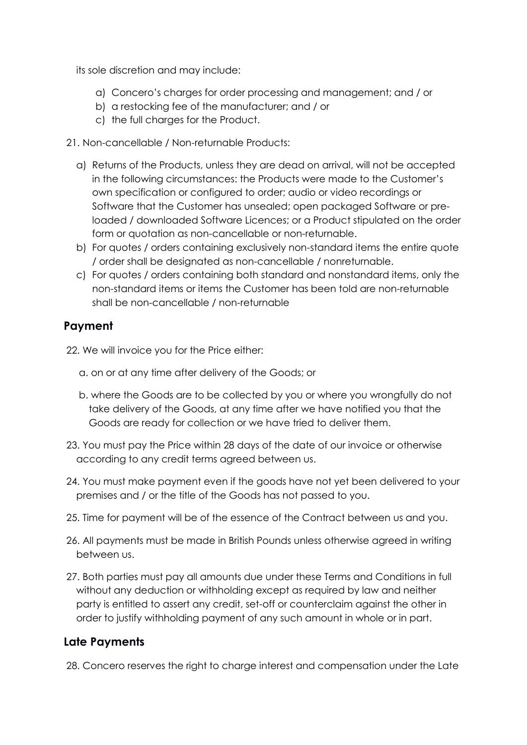its sole discretion and may include:

- a) Concero's charges for order processing and management; and / or
- b) a restocking fee of the manufacturer; and / or
- c) the full charges for the Product.
- 21. Non-cancellable / Non-returnable Products:
	- a) Returns of the Products, unless they are dead on arrival, will not be accepted in the following circumstances: the Products were made to the Customer's own specification or configured to order; audio or video recordings or Software that the Customer has unsealed; open packaged Software or preloaded / downloaded Software Licences; or a Product stipulated on the order form or quotation as non-cancellable or non-returnable.
	- b) For quotes / orders containing exclusively non-standard items the entire quote / order shall be designated as non-cancellable / nonreturnable.
	- c) For quotes / orders containing both standard and nonstandard items, only the non-standard items or items the Customer has been told are non-returnable shall be non-cancellable / non-returnable

## **Payment**

22. We will invoice you for the Price either:

- a. on or at any time after delivery of the Goods; or
- b. where the Goods are to be collected by you or where you wrongfully do not take delivery of the Goods, at any time after we have notified you that the Goods are ready for collection or we have tried to deliver them.
- 23. You must pay the Price within 28 days of the date of our invoice or otherwise according to any credit terms agreed between us.
- 24. You must make payment even if the goods have not yet been delivered to your premises and / or the title of the Goods has not passed to you.
- 25. Time for payment will be of the essence of the Contract between us and you.
- 26. All payments must be made in British Pounds unless otherwise agreed in writing between us.
- 27. Both parties must pay all amounts due under these Terms and Conditions in full without any deduction or withholding except as required by law and neither party is entitled to assert any credit, set-off or counterclaim against the other in order to justify withholding payment of any such amount in whole or in part.

## **Late Payments**

28. Concero reserves the right to charge interest and compensation under the Late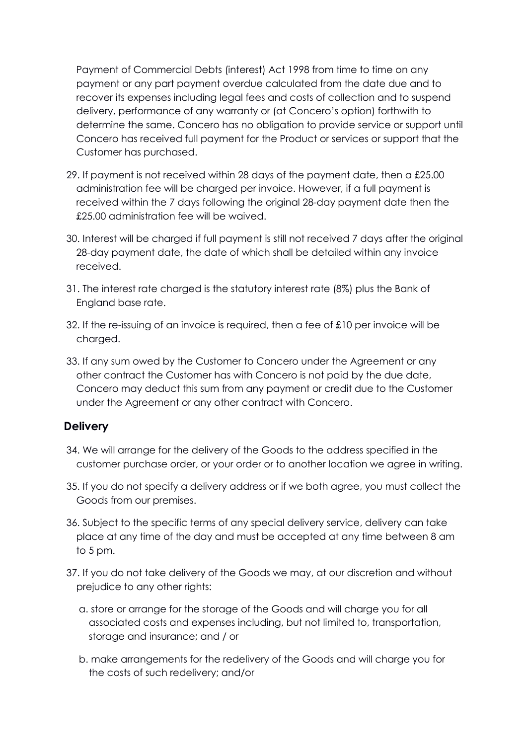Payment of Commercial Debts (interest) Act 1998 from time to time on any payment or any part payment overdue calculated from the date due and to recover its expenses including legal fees and costs of collection and to suspend delivery, performance of any warranty or (at Concero's option) forthwith to determine the same. Concero has no obligation to provide service or support until Concero has received full payment for the Product or services or support that the Customer has purchased.

- 29. If payment is not received within 28 days of the payment date, then a £25.00 administration fee will be charged per invoice. However, if a full payment is received within the 7 days following the original 28-day payment date then the £25.00 administration fee will be waived.
- 30. Interest will be charged if full payment is still not received 7 days after the original 28-day payment date, the date of which shall be detailed within any invoice received.
- 31. The interest rate charged is the statutory interest rate (8%) plus the Bank of England base rate.
- 32. If the re-issuing of an invoice is required, then a fee of £10 per invoice will be charged.
- 33. If any sum owed by the Customer to Concero under the Agreement or any other contract the Customer has with Concero is not paid by the due date, Concero may deduct this sum from any payment or credit due to the Customer under the Agreement or any other contract with Concero.

## **Delivery**

- 34. We will arrange for the delivery of the Goods to the address specified in the customer purchase order, or your order or to another location we agree in writing.
- 35. If you do not specify a delivery address or if we both agree, you must collect the Goods from our premises.
- 36. Subject to the specific terms of any special delivery service, delivery can take place at any time of the day and must be accepted at any time between 8 am to 5 pm.
- 37. If you do not take delivery of the Goods we may, at our discretion and without prejudice to any other rights:
	- a. store or arrange for the storage of the Goods and will charge you for all associated costs and expenses including, but not limited to, transportation, storage and insurance; and / or
	- b. make arrangements for the redelivery of the Goods and will charge you for the costs of such redelivery; and/or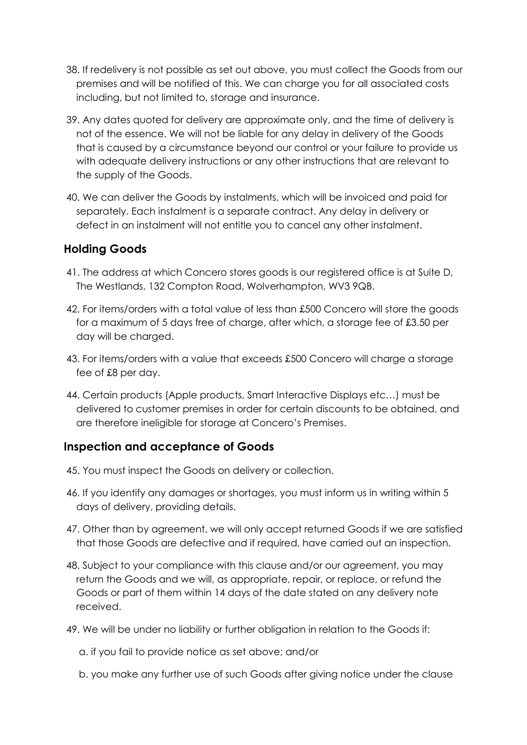- 38. If redelivery is not possible as set out above, you must collect the Goods from our premises and will be notified of this. We can charge you for all associated costs including, but not limited to, storage and insurance.
- 39. Any dates quoted for delivery are approximate only, and the time of delivery is not of the essence. We will not be liable for any delay in delivery of the Goods that is caused by a circumstance beyond our control or your failure to provide us with adequate delivery instructions or any other instructions that are relevant to the supply of the Goods.
- 40. We can deliver the Goods by instalments, which will be invoiced and paid for separately. Each instalment is a separate contract. Any delay in delivery or defect in an instalment will not entitle you to cancel any other instalment.

## **Holding Goods**

- 41. The address at which Concero stores goods is our registered office is at Suite D, The Westlands, 132 Compton Road, Wolverhampton, WV3 9QB.
- 42. For items/orders with a total value of less than £500 Concero will store the goods for a maximum of 5 days free of charge, after which, a storage fee of £3.50 per day will be charged.
- 43. For items/orders with a value that exceeds £500 Concero will charge a storage fee of £8 per day.
- 44. Certain products (Apple products, Smart Interactive Displays etc…) must be delivered to customer premises in order for certain discounts to be obtained, and are therefore ineligible for storage at Concero's Premises.

# **Inspection and acceptance of Goods**

- 45. You must inspect the Goods on delivery or collection.
- 46. If you identify any damages or shortages, you must inform us in writing within 5 days of delivery, providing details.
- 47. Other than by agreement, we will only accept returned Goods if we are satisfied that those Goods are defective and if required, have carried out an inspection.
- 48. Subject to your compliance with this clause and/or our agreement, you may return the Goods and we will, as appropriate, repair, or replace, or refund the Goods or part of them within 14 days of the date stated on any delivery note received.
- 49. We will be under no liability or further obligation in relation to the Goods if:
	- a. if you fail to provide notice as set above; and/or
	- b. you make any further use of such Goods after giving notice under the clause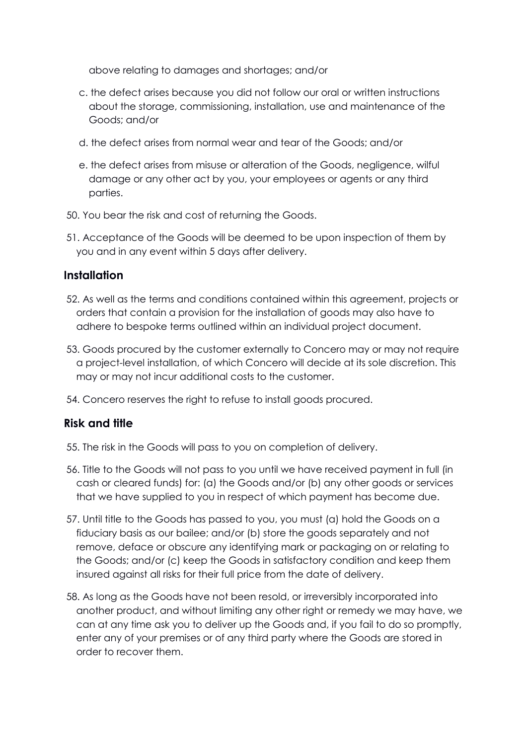above relating to damages and shortages; and/or

- c. the defect arises because you did not follow our oral or written instructions about the storage, commissioning, installation, use and maintenance of the Goods; and/or
- d. the defect arises from normal wear and tear of the Goods; and/or
- e. the defect arises from misuse or alteration of the Goods, negligence, wilful damage or any other act by you, your employees or agents or any third parties.
- 50. You bear the risk and cost of returning the Goods.
- 51. Acceptance of the Goods will be deemed to be upon inspection of them by you and in any event within 5 days after delivery.

#### **Installation**

- 52. As well as the terms and conditions contained within this agreement, projects or orders that contain a provision for the installation of goods may also have to adhere to bespoke terms outlined within an individual project document.
- 53. Goods procured by the customer externally to Concero may or may not require a project-level installation, of which Concero will decide at its sole discretion. This may or may not incur additional costs to the customer.
- 54. Concero reserves the right to refuse to install goods procured.

#### **Risk and title**

- 55. The risk in the Goods will pass to you on completion of delivery.
- 56. Title to the Goods will not pass to you until we have received payment in full (in cash or cleared funds) for: (a) the Goods and/or (b) any other goods or services that we have supplied to you in respect of which payment has become due.
- 57. Until title to the Goods has passed to you, you must (a) hold the Goods on a fiduciary basis as our bailee; and/or (b) store the goods separately and not remove, deface or obscure any identifying mark or packaging on or relating to the Goods; and/or (c) keep the Goods in satisfactory condition and keep them insured against all risks for their full price from the date of delivery.
- 58. As long as the Goods have not been resold, or irreversibly incorporated into another product, and without limiting any other right or remedy we may have, we can at any time ask you to deliver up the Goods and, if you fail to do so promptly, enter any of your premises or of any third party where the Goods are stored in order to recover them.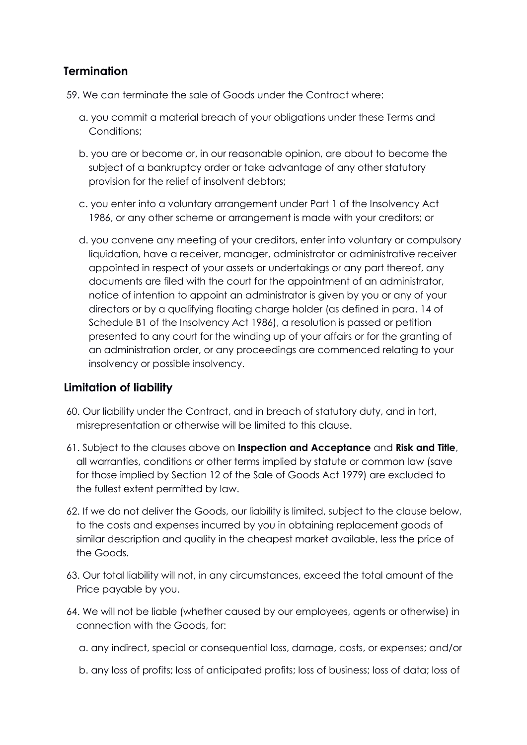## **Termination**

59. We can terminate the sale of Goods under the Contract where:

- a. you commit a material breach of your obligations under these Terms and Conditions;
- b. you are or become or, in our reasonable opinion, are about to become the subject of a bankruptcy order or take advantage of any other statutory provision for the relief of insolvent debtors;
- c. you enter into a voluntary arrangement under Part 1 of the Insolvency Act 1986, or any other scheme or arrangement is made with your creditors; or
- d. you convene any meeting of your creditors, enter into voluntary or compulsory liquidation, have a receiver, manager, administrator or administrative receiver appointed in respect of your assets or undertakings or any part thereof, any documents are filed with the court for the appointment of an administrator, notice of intention to appoint an administrator is given by you or any of your directors or by a qualifying floating charge holder (as defined in para. 14 of Schedule B1 of the Insolvency Act 1986), a resolution is passed or petition presented to any court for the winding up of your affairs or for the granting of an administration order, or any proceedings are commenced relating to your insolvency or possible insolvency.

## **Limitation of liability**

- 60. Our liability under the Contract, and in breach of statutory duty, and in tort, misrepresentation or otherwise will be limited to this clause.
- 61. Subject to the clauses above on **Inspection and Acceptance** and **Risk and Title**, all warranties, conditions or other terms implied by statute or common law (save for those implied by Section 12 of the Sale of Goods Act 1979) are excluded to the fullest extent permitted by law.
- 62. If we do not deliver the Goods, our liability is limited, subject to the clause below, to the costs and expenses incurred by you in obtaining replacement goods of similar description and quality in the cheapest market available, less the price of the Goods.
- 63. Our total liability will not, in any circumstances, exceed the total amount of the Price payable by you.
- 64. We will not be liable (whether caused by our employees, agents or otherwise) in connection with the Goods, for:

a. any indirect, special or consequential loss, damage, costs, or expenses; and/or

b. any loss of profits; loss of anticipated profits; loss of business; loss of data; loss of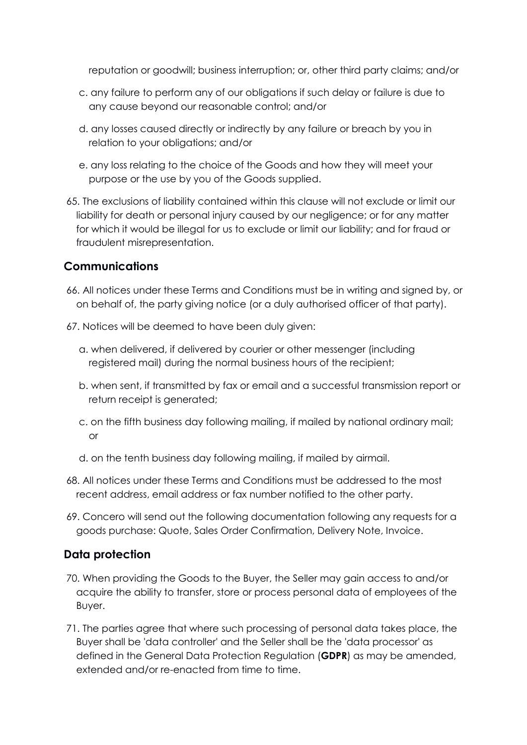reputation or goodwill; business interruption; or, other third party claims; and/or

- c. any failure to perform any of our obligations if such delay or failure is due to any cause beyond our reasonable control; and/or
- d. any losses caused directly or indirectly by any failure or breach by you in relation to your obligations; and/or
- e. any loss relating to the choice of the Goods and how they will meet your purpose or the use by you of the Goods supplied.
- 65. The exclusions of liability contained within this clause will not exclude or limit our liability for death or personal injury caused by our negligence; or for any matter for which it would be illegal for us to exclude or limit our liability; and for fraud or fraudulent misrepresentation.

## **Communications**

- 66. All notices under these Terms and Conditions must be in writing and signed by, or on behalf of, the party giving notice (or a duly authorised officer of that party).
- 67. Notices will be deemed to have been duly given:
	- a. when delivered, if delivered by courier or other messenger (including registered mail) during the normal business hours of the recipient;
	- b. when sent, if transmitted by fax or email and a successful transmission report or return receipt is generated;
	- c. on the fifth business day following mailing, if mailed by national ordinary mail; or
	- d. on the tenth business day following mailing, if mailed by airmail.
- 68. All notices under these Terms and Conditions must be addressed to the most recent address, email address or fax number notified to the other party.
- 69. Concero will send out the following documentation following any requests for a goods purchase: Quote, Sales Order Confirmation, Delivery Note, Invoice.

#### **Data protection**

- 70. When providing the Goods to the Buyer, the Seller may gain access to and/or acquire the ability to transfer, store or process personal data of employees of the Buyer.
- 71. The parties agree that where such processing of personal data takes place, the Buyer shall be 'data controller' and the Seller shall be the 'data processor' as defined in the General Data Protection Regulation (**GDPR**) as may be amended, extended and/or re-enacted from time to time.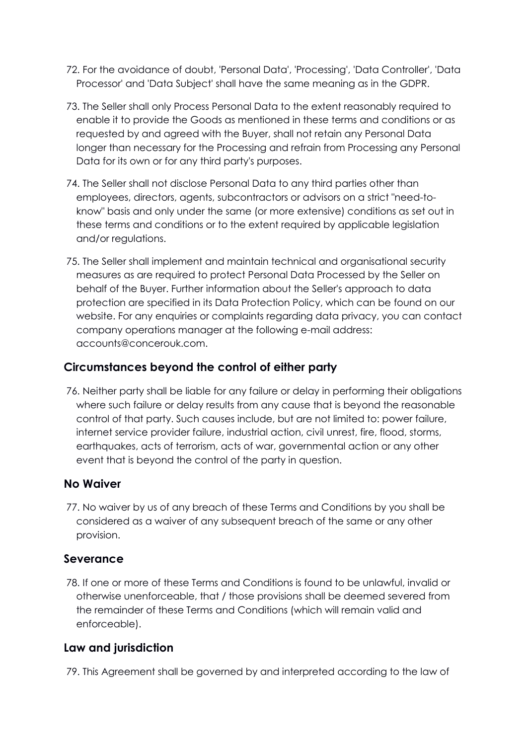- 72. For the avoidance of doubt, 'Personal Data', 'Processing', 'Data Controller', 'Data Processor' and 'Data Subject' shall have the same meaning as in the GDPR.
- 73. The Seller shall only Process Personal Data to the extent reasonably required to enable it to provide the Goods as mentioned in these terms and conditions or as requested by and agreed with the Buyer, shall not retain any Personal Data longer than necessary for the Processing and refrain from Processing any Personal Data for its own or for any third party's purposes.
- 74. The Seller shall not disclose Personal Data to any third parties other than employees, directors, agents, subcontractors or advisors on a strict "need-toknow" basis and only under the same (or more extensive) conditions as set out in these terms and conditions or to the extent required by applicable legislation and/or regulations.
- 75. The Seller shall implement and maintain technical and organisational security measures as are required to protect Personal Data Processed by the Seller on behalf of the Buyer. Further information about the Seller's approach to data protection are specified in its Data Protection Policy, which can be found on our website. For any enquiries or complaints regarding data privacy, you can contact company operations manager at the following e-mail address: accounts@concerouk.com.

# **Circumstances beyond the control of either party**

76. Neither party shall be liable for any failure or delay in performing their obligations where such failure or delay results from any cause that is beyond the reasonable control of that party. Such causes include, but are not limited to: power failure, internet service provider failure, industrial action, civil unrest, fire, flood, storms, earthquakes, acts of terrorism, acts of war, governmental action or any other event that is beyond the control of the party in question.

## **No Waiver**

77. No waiver by us of any breach of these Terms and Conditions by you shall be considered as a waiver of any subsequent breach of the same or any other provision.

## **Severance**

78. If one or more of these Terms and Conditions is found to be unlawful, invalid or otherwise unenforceable, that / those provisions shall be deemed severed from the remainder of these Terms and Conditions (which will remain valid and enforceable).

# **Law and jurisdiction**

79. This Agreement shall be governed by and interpreted according to the law of